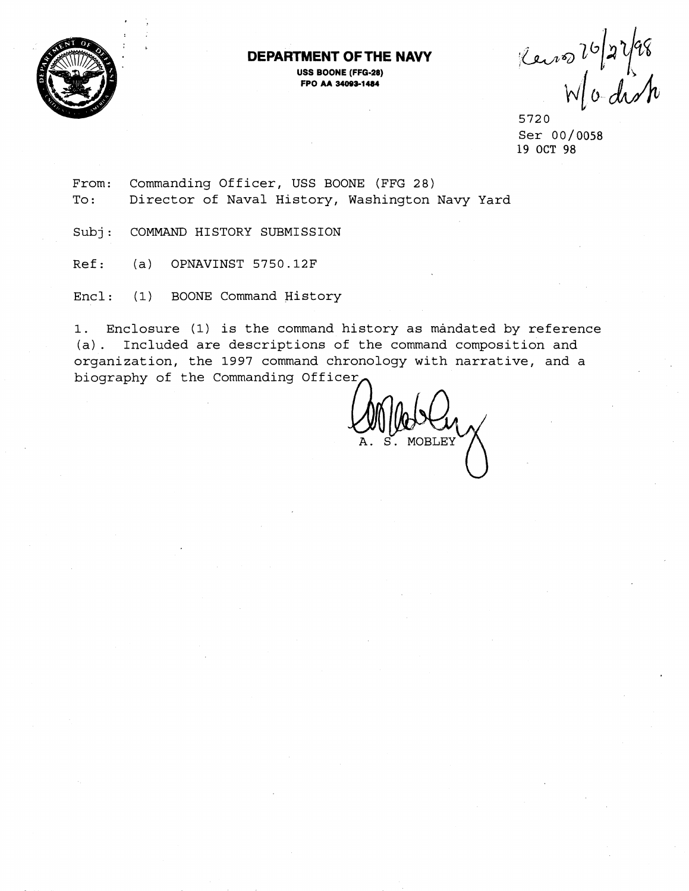

## **DEPARTMENT OF THE NAVY**

**USS BOONE (FFG-28) FPO M 34099-1 <sup>484</sup>**

Reins 26/27/98

5720 Ser 00/0058 19 **OCT** 98

From: Commanding Officer, USS BOONE (FFG 28) To: Director of Naval History, Washington Navy Yard

Subj: COMMAND HISTORY SUBMISSION

Ref: (a) OPNAVINST 5750.12F

Encl : (1) BOONE Command History

1. Enclosure (1) is the command history as mandated by reference (a). Included are descriptions of the command composition and organization, the 1997 command chronology with narrative, and a biography of the Commanding Office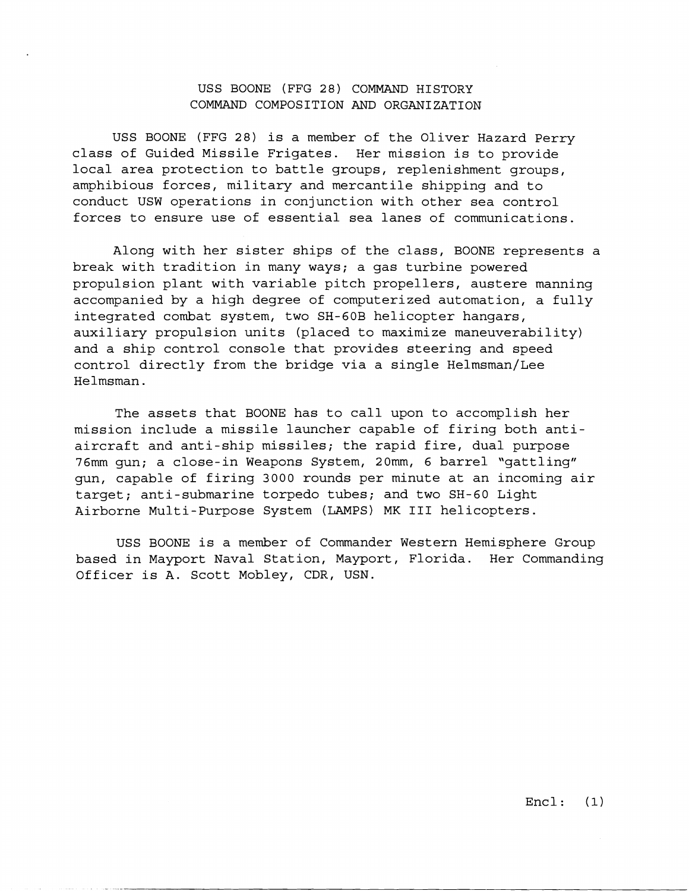## USS BOONE (FFG 28) COMMAND HISTORY COMMAND COMPOSITION AND ORGANIZATION

USS BOONE (FFG 28) is a member of the Oliver Hazard Perry class of Guided Missile Frigates. Her mission is to provide local area protection to battle groups, replenishment groups, amphibious forces, military and mercantile shipping and to conduct USW operations in conjunction with other sea control forces to ensure use of essential sea lanes of communications.

Along with her sister ships of the class, BOONE represents a break with tradition in many ways; a gas turbine powered propulsion plant with variable pitch propellers, austere manning accompanied by a high degree of computerized automation, a fully integrated combat system, two SH-60B helicopter hangars, auxiliary propulsion units (placed to maximize maneuverability) and a ship control console that provides steering and speed control directly from the bridge via a single Helmsman/Lee Helmsman.

The assets that BOONE has to call upon to accomplish her mission include a missile launcher capable of firing both antiaircraft and anti-ship missiles; the rapid fire, dual purpose 76mm gun; a close-in Weapons System, 20mm, 6 barrel "gattling" gun, capable of firing 3000 rounds per minute at an incoming air target; anti-submarine torpedo tubes; and two SH-60 Light Airborne Multi-Purpose System (LAMPS) MK I11 helicopters.

USS BOONE is a member of Commander Western Hemisphere Group based in Mayport Naval Station, Mayport, Florida. Her Commanding Officer is A. Scott Mobley, CDR, USN.

Encl: **(1)**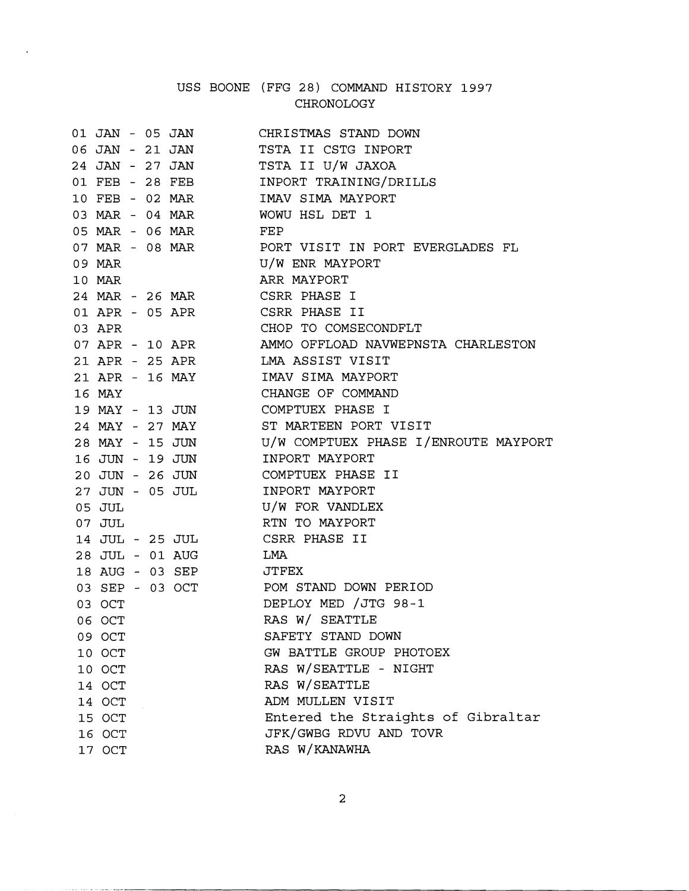## USS BOONE (FFG 28) COMMAND HISTORY 1997 CHRONOLOGY

 $\ddot{\phantom{a}}$ 

|                 |  | 01 JAN - 05 JAN       | CHRISTMAS STAND DOWN                                    |
|-----------------|--|-----------------------|---------------------------------------------------------|
|                 |  | 06 JAN - 21 JAN       | TSTA II CSTG INPORT                                     |
|                 |  |                       | 24 JAN - 27 JAN TSTA II U/W JAXOA                       |
|                 |  |                       | 01 FEB - 28 FEB INPORT TRAINING/DRILLS                  |
|                 |  | 10 FEB - 02 MAR       | IMAV SIMA MAYPORT                                       |
|                 |  |                       | 03 MAR - 04 MAR WOWU HSL DET 1                          |
|                 |  | 05 MAR - 06 MAR FEP   |                                                         |
|                 |  |                       | 07 MAR - 08 MAR        PORT VISIT IN PORT EVERGLADES FL |
| 09 MAR          |  |                       | U/W ENR MAYPORT                                         |
| 10 MAR          |  |                       | ARR MAYPORT                                             |
|                 |  |                       | 24 MAR - 26 MAR CSRR PHASE I                            |
|                 |  |                       | 01 APR - 05 APR CSRR PHASE II                           |
| 03 APR          |  |                       | CHOP TO COMSECONDFLT                                    |
|                 |  |                       | 07 APR - 10 APR MMO OFFLOAD NAVWEPNSTA CHARLESTON       |
|                 |  |                       | 21 APR - 25 APR LMA ASSIST VISIT                        |
|                 |  |                       | 21 APR - 16 MAY IMAV SIMA MAYPORT                       |
| 16 MAY          |  |                       | CHANGE OF COMMAND                                       |
|                 |  |                       | 19 MAY - 13 JUN COMPTUEX PHASE I                        |
|                 |  |                       | 24 MAY - 27 MAY ST MARTEEN PORT VISIT                   |
|                 |  |                       | 28 MAY - 15 JUN U/W COMPTUEX PHASE I/ENROUTE MAYPORT    |
|                 |  | 16 JUN - 19 JUN       | INPORT MAYPORT                                          |
|                 |  | 20 JUN - 26 JUN       | COMPTUEX PHASE II                                       |
| 27 JUN - 05 JUL |  |                       | INPORT MAYPORT                                          |
| 05 JUL          |  |                       | U/W FOR VANDLEX                                         |
| 07 JUL          |  |                       | RTN TO MAYPORT                                          |
|                 |  |                       | 14 JUL - 25 JUL CSRR PHASE II                           |
|                 |  | 28 JUL - 01 AUG       | LMA                                                     |
|                 |  | 18 AUG - 03 SEP JTFEX |                                                         |
|                 |  |                       | 03 SEP - 03 OCT POM STAND DOWN PERIOD                   |
| 03 OCT          |  |                       | DEPLOY MED / JTG 98-1                                   |
| 06 OCT          |  |                       | RAS W/ SEATTLE                                          |
| 09 OCT          |  |                       | SAFETY STAND DOWN                                       |
| 10 OCT          |  |                       | GW BATTLE GROUP PHOTOEX                                 |
| 10 OCT          |  |                       | RAS W/SEATTLE - NIGHT                                   |
| 14 OCT          |  |                       | RAS W/SEATTLE                                           |
| 14 OCT          |  |                       | ADM MULLEN VISIT                                        |
| 15 OCT          |  |                       | Entered the Straights of Gibraltar                      |
| 16 OCT          |  |                       | JFK/GWBG RDVU AND TOVR                                  |
| 17 OCT          |  |                       | RAS W/KANAWHA                                           |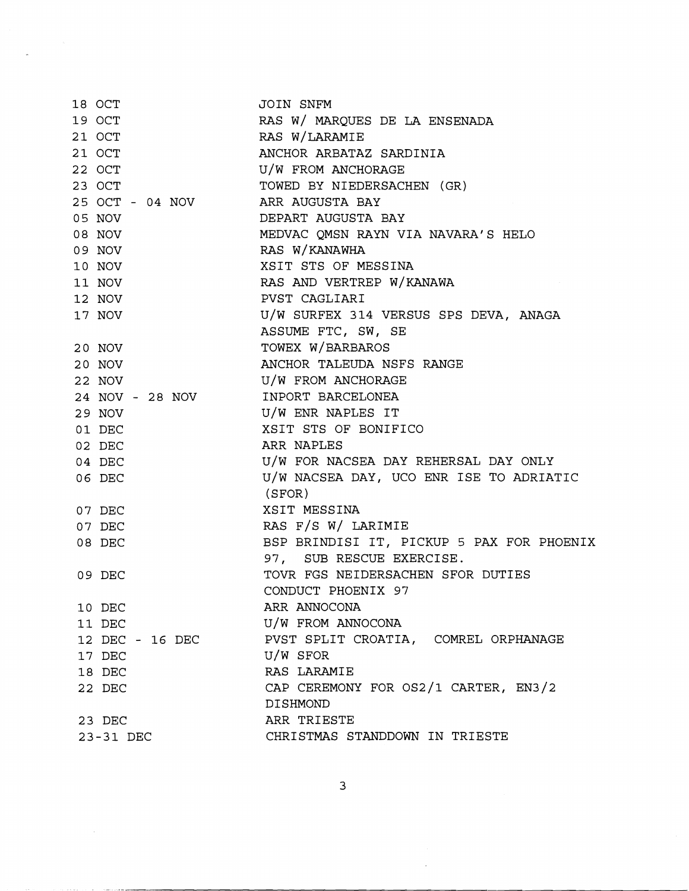| 18 OCT          | JOIN SNFM                                 |
|-----------------|-------------------------------------------|
| 19 OCT          | RAS W/ MARQUES DE LA ENSENADA             |
| 21 OCT          | RAS W/LARAMIE                             |
| 21 OCT          | ANCHOR ARBATAZ SARDINIA                   |
| 22 OCT          | U/W FROM ANCHORAGE                        |
| 23 OCT          | TOWED BY NIEDERSACHEN (GR)                |
| 25 OCT - 04 NOV | ARR AUGUSTA BAY                           |
| 05 NOV          | DEPART AUGUSTA BAY                        |
| 08 NOV          | MEDVAC OMSN RAYN VIA NAVARA'S HELO        |
| 09 NOV          | RAS W/KANAWHA                             |
| 10 NOV          | XSIT STS OF MESSINA                       |
| 11 NOV          | RAS AND VERTREP W/KANAWA                  |
| 12 NOV          | PVST CAGLIARI                             |
| 17 NOV          | U/W SURFEX 314 VERSUS SPS DEVA, ANAGA     |
|                 | ASSUME FTC, SW, SE                        |
| 20 NOV          | TOWEX W/BARBAROS                          |
| 20 NOV          | ANCHOR TALEUDA NSFS RANGE                 |
| 22 NOV          | U/W FROM ANCHORAGE                        |
| 24 NOV - 28 NOV | INPORT BARCELONEA                         |
| 29 NOV          | U/W ENR NAPLES IT                         |
| 01 DEC          | XSIT STS OF BONIFICO                      |
| 02 DEC          | ARR NAPLES                                |
| 04 DEC          | U/W FOR NACSEA DAY REHERSAL DAY ONLY      |
| 06 DEC          | U/W NACSEA DAY, UCO ENR ISE TO ADRIATIC   |
|                 | (SFOR)                                    |
| 07 DEC          | XSIT MESSINA                              |
| 07 DEC          | RAS F/S W/ LARIMIE                        |
| 08 DEC          | BSP BRINDISI IT, PICKUP 5 PAX FOR PHOENIX |
|                 | 97, SUB RESCUE EXERCISE.                  |
| 09 DEC          | TOVR FGS NEIDERSACHEN SFOR DUTIES         |
|                 | CONDUCT PHOENIX 97                        |
| 10 DEC          | ARR ANNOCONA                              |
| 11 DEC          | U/W FROM ANNOCONA                         |
| 12 DEC - 16 DEC | PVST SPLIT CROATIA, COMREL ORPHANAGE      |
| 17 DEC          | U/W SFOR                                  |
| 18 DEC          | RAS LARAMIE                               |
| 22 DEC          | CAP CEREMONY FOR OS2/1 CARTER, EN3/2      |
|                 | DISHMOND                                  |
| 23 DEC          | ARR TRIESTE                               |
| 23-31 DEC       | CHRISTMAS STANDDOWN IN TRIESTE            |

 $\ddot{\phantom{a}}$ 

 $\overline{3}$ 

 $\frac{1}{2}$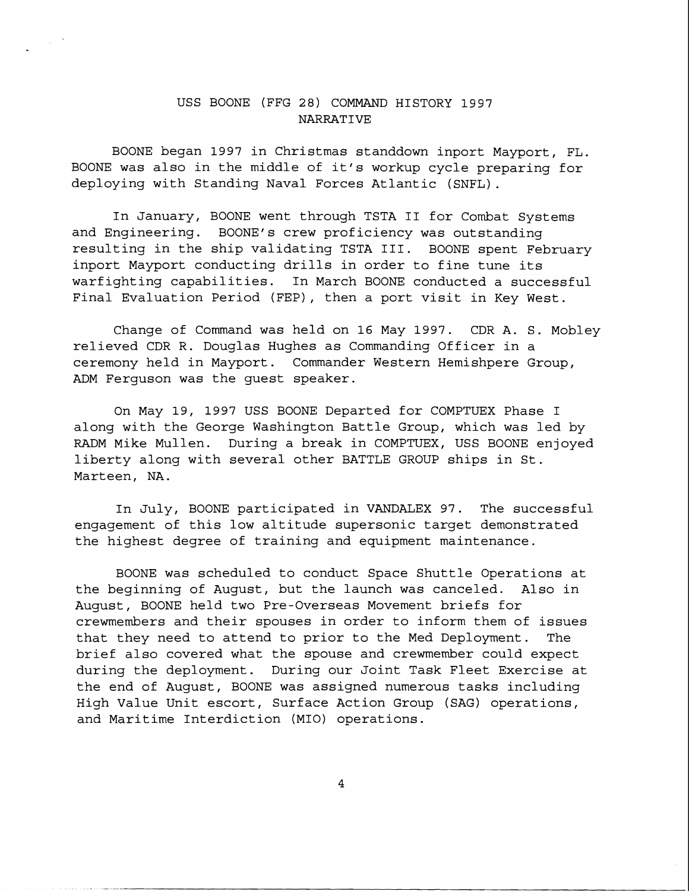## USS BOONE (FFG 28) COMMAND HISTORY 1997 NARRATIVE

BOONE began 1997 in Christmas standdown inport Mayport, FL. BOONE was also in the middle of it's workup cycle preparing for deploying with Standing Naval Forces Atlantic (SNFL) .

In January, BOONE went through TSTA I1 for Combat Systems and Engineering. BOONE's crew proficiency was outstanding resulting in the ship validating TSTA 111. BOONE spent February inport Mayport conducting drills in order to fine tune its warfighting capabilities. In March BOONE conducted a successful Final Evaluation Period (FEP), then a port visit in Key West.

Change of Command was held on 16 May 1997. CDR A. S. Mobley relieved CDR R. Douglas Hughes as Commanding Officer in a ceremony held in Mayport. Commander Western Hemishpere Group, ADM Ferguson was the guest speaker.

On May 19, 1997 USS BOONE Departed for COMPTUEX Phase I along with the George Washington Battle Group, which was led by RADM Mike Mullen. During a break in COMPTUEX, USS BOONE enjoyed liberty along with several other BATTLE GROUP ships in St. Marteen, NA.

In July, BOONE participated in VANDALEX 97. The successful engagement of this low altitude supersonic target demonstrated the highest degree of training and equipment maintenance.

BOONE was scheduled to conduct Space Shuttle Operations at the beginning of August, but the launch was canceled. Also in August, BOONE held two Pre-Overseas Movement briefs for crewmembers and their spouses in order to inform them of issues that they need to attend to prior to the Med Deployment. The brief also covered what the spouse and crewmember could expect during the deployment. During our Joint Task Fleet Exercise at the end of August, BOONE was assigned numerous tasks including High Value Unit escort, Surface Action Group (SAG) operations, and Maritime Interdiction (MIO) operations.

4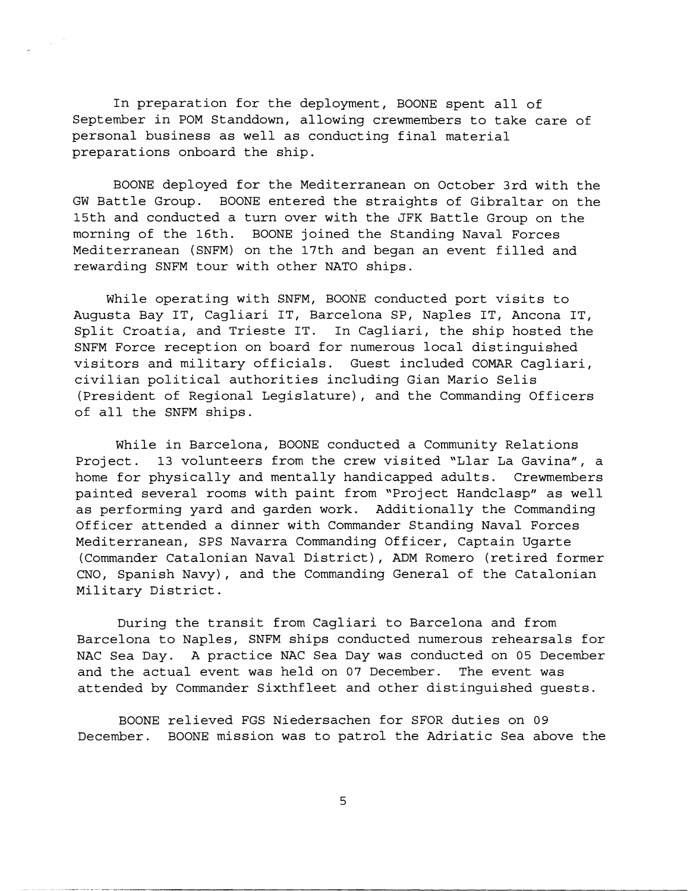In preparation for the deployment, BOONE spent all of September in POM Standdown, allowing crewmembers to take care of personal business as well as conducting final material preparations onboard the ship.

 $\frac{1}{2} \frac{1}{2} \frac{d^2}{dt^2}$ 

BOONE deployed for the Mediterranean on October 3rd with the GW Battle Group. BOONE entered the straights of Gibraltar on the 15th and conducted a turn over with the JFK Battle Group on the morning of the 16th. BOONE joined the Standing Naval Forces Mediterranean (SNFM) on the 17th and began an event filled and rewarding SNFM tour with other NATO ships.

While operating with SNFM, BOONE conducted port visits to Augusta Bay IT, Cagliari IT, Barcelona SP, Naples IT, Ancona IT, Split Croatia, and Trieste IT. In Cagliari, the ship hosted the SNFM Force reception on board for numerous local distinguished visitors and military officials. Guest included COMAR Cagliari, civilian political authorities including Gian Mario Selis (President of Regional Legislature), and the Commanding Officers of all the SNFM ships.

While in Barcelona, BOONE conducted a Community Relations Project. 13 volunteers from the crew visited "Llar La Gavina", a home for physically and mentally handicapped adults. Crewmembers painted several rooms with paint from "Project Handclasp" as well as performing yard and garden work. Additionally the Commanding Officer attended a dinner with Commander Standing Naval Forces Mediterranean, SPS Navarra Commanding Officer, Captain Ugarte (Commander Catalonian Naval District), ADM Romero (retired former CNO, Spanish Navy), and the Commanding General of the Catalonian Military District.

During the transit from Cagliari to Barcelona and from Barcelona to Naples, SNFM ships conducted numerous rehearsals for NAC Sea Day. A practice NAC Sea Day was conducted on 05 December and the actual event was held on 07 December. The event was attended by Commander Sixthfleet and other distinguished guests.

BOONE relieved FGS Niedersachen for SFOR duties on 09 December. BOONE mission was to patrol the Adriatic Sea above the

5